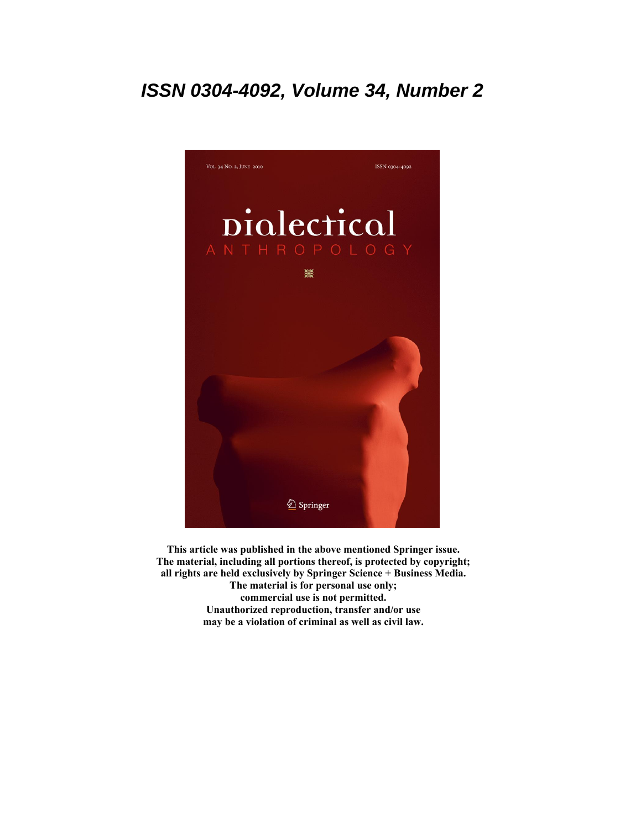## **ISSN 0304-4092, Volume 34, Number 2**



**This article was published in the above mentioned Springer issue. The material, including all portions thereof, is protected by copyright; all rights are held exclusively by Springer Science + Business Media. The material is for personal use only; commercial use is not permitted. Unauthorized reproduction, transfer and/or use may be a violation of criminal as well as civil law.**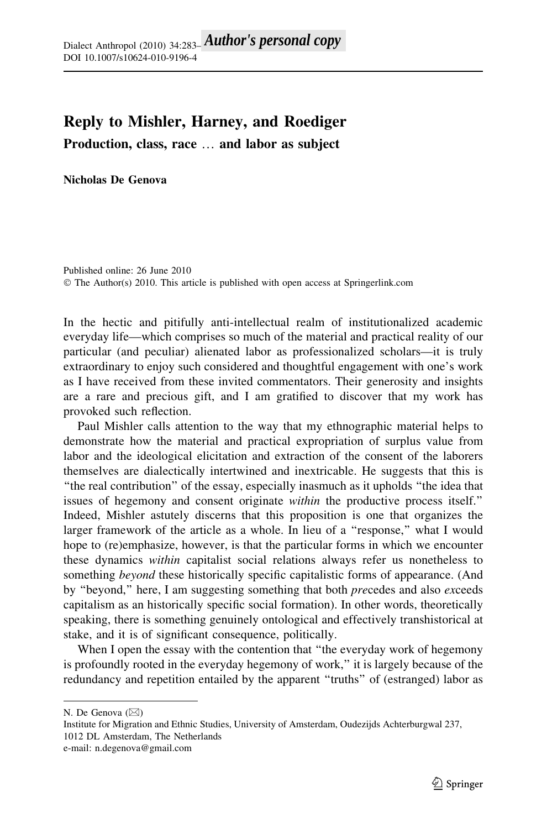## Reply to Mishler, Harney, and Roediger

Production, class, race … and labor as subject

## Nicholas De Genova

Published online: 26 June 2010 © The Author(s) 2010. This article is published with open access at Springerlink.com

In the hectic and pitifully anti-intellectual realm of institutionalized academic everyday life—which comprises so much of the material and practical reality of our particular (and peculiar) alienated labor as professionalized scholars—it is truly extraordinary to enjoy such considered and thoughtful engagement with one's work as I have received from these invited commentators. Their generosity and insights are a rare and precious gift, and I am gratified to discover that my work has provoked such reflection.

Paul Mishler calls attention to the way that my ethnographic material helps to demonstrate how the material and practical expropriation of surplus value from labor and the ideological elicitation and extraction of the consent of the laborers themselves are dialectically intertwined and inextricable. He suggests that this is "the real contribution" of the essay, especially inasmuch as it upholds "the idea that issues of hegemony and consent originate within the productive process itself.'' Indeed, Mishler astutely discerns that this proposition is one that organizes the larger framework of the article as a whole. In lieu of a "response," what I would hope to (re)emphasize, however, is that the particular forms in which we encounter these dynamics within capitalist social relations always refer us nonetheless to something beyond these historically specific capitalistic forms of appearance. (And by "beyond," here, I am suggesting something that both *precedes* and also exceeds capitalism as an historically specific social formation). In other words, theoretically speaking, there is something genuinely ontological and effectively transhistorical at stake, and it is of significant consequence, politically.

When I open the essay with the contention that "the everyday work of hegemony is profoundly rooted in the everyday hegemony of work,'' it is largely because of the redundancy and repetition entailed by the apparent ''truths'' of (estranged) labor as

N. De Genova  $(\boxtimes)$ 

Institute for Migration and Ethnic Studies, University of Amsterdam, Oudezijds Achterburgwal 237, 1012 DL Amsterdam, The Netherlands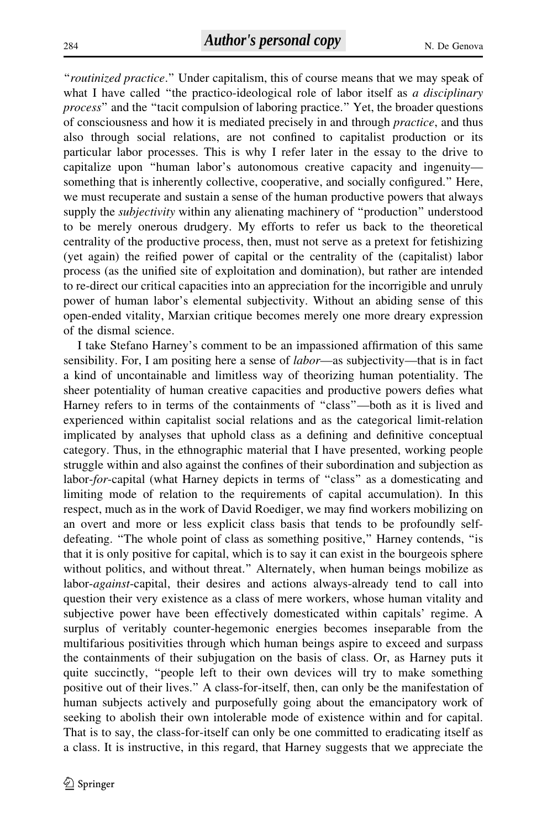"routinized practice." Under capitalism, this of course means that we may speak of what I have called "the practico-ideological role of labor itself as a disciplinary process'' and the ''tacit compulsion of laboring practice.'' Yet, the broader questions of consciousness and how it is mediated precisely in and through practice, and thus also through social relations, are not confined to capitalist production or its particular labor processes. This is why I refer later in the essay to the drive to capitalize upon ''human labor's autonomous creative capacity and ingenuity something that is inherently collective, cooperative, and socially configured.'' Here, we must recuperate and sustain a sense of the human productive powers that always supply the *subjectivity* within any alienating machinery of "production" understood to be merely onerous drudgery. My efforts to refer us back to the theoretical centrality of the productive process, then, must not serve as a pretext for fetishizing (yet again) the reified power of capital or the centrality of the (capitalist) labor process (as the unified site of exploitation and domination), but rather are intended to re-direct our critical capacities into an appreciation for the incorrigible and unruly power of human labor's elemental subjectivity. Without an abiding sense of this open-ended vitality, Marxian critique becomes merely one more dreary expression of the dismal science.

I take Stefano Harney's comment to be an impassioned affirmation of this same sensibility. For, I am positing here a sense of *labor*—as subjectivity—that is in fact a kind of uncontainable and limitless way of theorizing human potentiality. The sheer potentiality of human creative capacities and productive powers defies what Harney refers to in terms of the containments of "class"—both as it is lived and experienced within capitalist social relations and as the categorical limit-relation implicated by analyses that uphold class as a defining and definitive conceptual category. Thus, in the ethnographic material that I have presented, working people struggle within and also against the confines of their subordination and subjection as labor-for-capital (what Harney depicts in terms of "class" as a domesticating and limiting mode of relation to the requirements of capital accumulation). In this respect, much as in the work of David Roediger, we may find workers mobilizing on an overt and more or less explicit class basis that tends to be profoundly selfdefeating. ''The whole point of class as something positive,'' Harney contends, ''is that it is only positive for capital, which is to say it can exist in the bourgeois sphere without politics, and without threat.'' Alternately, when human beings mobilize as labor-*against*-capital, their desires and actions always-already tend to call into question their very existence as a class of mere workers, whose human vitality and subjective power have been effectively domesticated within capitals' regime. A surplus of veritably counter-hegemonic energies becomes inseparable from the multifarious positivities through which human beings aspire to exceed and surpass the containments of their subjugation on the basis of class. Or, as Harney puts it quite succinctly, ''people left to their own devices will try to make something positive out of their lives.'' A class-for-itself, then, can only be the manifestation of human subjects actively and purposefully going about the emancipatory work of seeking to abolish their own intolerable mode of existence within and for capital. That is to say, the class-for-itself can only be one committed to eradicating itself as a class. It is instructive, in this regard, that Harney suggests that we appreciate the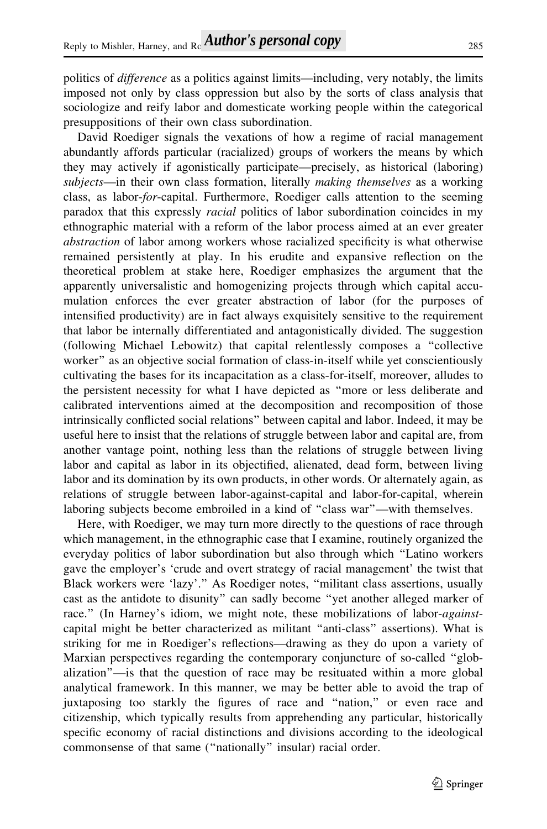politics of *difference* as a politics against limits—including, very notably, the limits imposed not only by class oppression but also by the sorts of class analysis that sociologize and reify labor and domesticate working people within the categorical presuppositions of their own class subordination.

David Roediger signals the vexations of how a regime of racial management abundantly affords particular (racialized) groups of workers the means by which they may actively if agonistically participate—precisely, as historical (laboring) subjects—in their own class formation, literally *making themselves* as a working class, as labor-for-capital. Furthermore, Roediger calls attention to the seeming paradox that this expressly *racial* politics of labor subordination coincides in my ethnographic material with a reform of the labor process aimed at an ever greater abstraction of labor among workers whose racialized specificity is what otherwise remained persistently at play. In his erudite and expansive reflection on the theoretical problem at stake here, Roediger emphasizes the argument that the apparently universalistic and homogenizing projects through which capital accumulation enforces the ever greater abstraction of labor (for the purposes of intensified productivity) are in fact always exquisitely sensitive to the requirement that labor be internally differentiated and antagonistically divided. The suggestion (following Michael Lebowitz) that capital relentlessly composes a ''collective worker'' as an objective social formation of class-in-itself while yet conscientiously cultivating the bases for its incapacitation as a class-for-itself, moreover, alludes to the persistent necessity for what I have depicted as ''more or less deliberate and calibrated interventions aimed at the decomposition and recomposition of those intrinsically conflicted social relations'' between capital and labor. Indeed, it may be useful here to insist that the relations of struggle between labor and capital are, from another vantage point, nothing less than the relations of struggle between living labor and capital as labor in its objectified, alienated, dead form, between living labor and its domination by its own products, in other words. Or alternately again, as relations of struggle between labor-against-capital and labor-for-capital, wherein laboring subjects become embroiled in a kind of ''class war''—with themselves.

Here, with Roediger, we may turn more directly to the questions of race through which management, in the ethnographic case that I examine, routinely organized the everyday politics of labor subordination but also through which ''Latino workers gave the employer's 'crude and overt strategy of racial management' the twist that Black workers were 'lazy'.'' As Roediger notes, ''militant class assertions, usually cast as the antidote to disunity'' can sadly become ''yet another alleged marker of race." (In Harney's idiom, we might note, these mobilizations of labor-*against*capital might be better characterized as militant ''anti-class'' assertions). What is striking for me in Roediger's reflections—drawing as they do upon a variety of Marxian perspectives regarding the contemporary conjuncture of so-called ''globalization''—is that the question of race may be resituated within a more global analytical framework. In this manner, we may be better able to avoid the trap of juxtaposing too starkly the figures of race and ''nation,'' or even race and citizenship, which typically results from apprehending any particular, historically specific economy of racial distinctions and divisions according to the ideological commonsense of that same (''nationally'' insular) racial order.